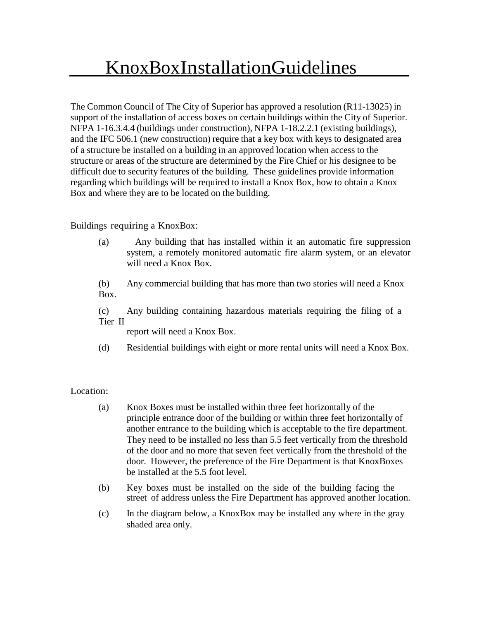The Common Council of The City of Superior has approved a resolution (R11-13025) in support of the installation of access boxes on certain buildings within the City of Superior. NFPA 1-16.3.4.4 (buildings under construction), NFPA 1-18.2.2.1 (existing buildings), and the IFC 506.1 (new construction) require that a key box with keys to designated area of a structure be installed on a building in an approved location when access to the structure or areas of the structure are determined by the Fire Chief or his designee to be difficult due to security features of the building. These guidelines provide information regarding which buildings will be required to install a Knox Box, how to obtain a Knox Box and where they are to be located on the building.

# Buildings requiring a KnoxBox:

(a) Any building that has installed within it an automatic fire suppression system, a remotely monitored automatic fire alarm system, or an elevator will need a Knox Box.

(b) Any commercial building that has more than two stories will need a Knox Box.

(c) Any building containing hazardous materials requiring the filing of a Tier II

report will need a Knox Box.

(d) Residential buildings with eight or more rental units will need a Knox Box.

## Location:

- (a) Knox Boxes must be installed within three feet horizontally of the principle entrance door of the building or within three feet horizontally of another entrance to the building which is acceptable to the fire department. They need to be installed no less than 5.5 feet vertically from the threshold of the door and no more that seven feet vertically from the threshold of the door. However, the preference of the Fire Department is that KnoxBoxes be installed at the 5.5 foot level.
- (b) Key boxes must be installed on the side of the building facing the street of address unless the Fire Department has approved another location.
- (c) In the diagram below, a KnoxBox may be installed any where in the gray shaded area only.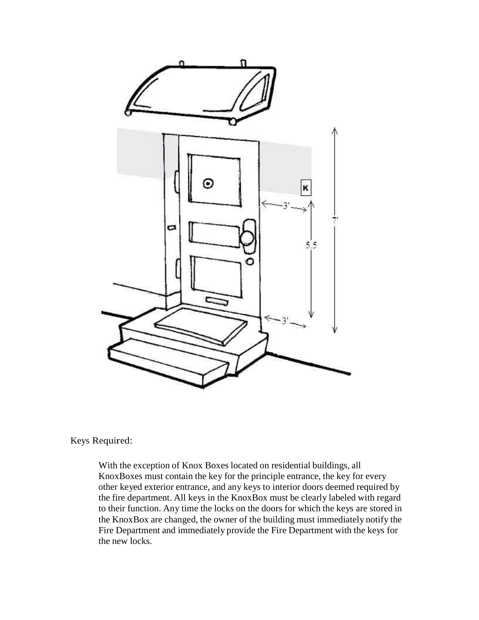

### Keys Required:

With the exception of Knox Boxes located on residential buildings, all KnoxBoxes must contain the key for the principle entrance, the key for every other keyed exterior entrance, and any keys to interior doors deemed required by the fire department. All keys in the KnoxBox must be clearly labeled with regard to their function. Any time the locks on the doors for which the keys are stored in the KnoxBox are changed, the owner of the building must immediately notify the Fire Department and immediately provide the Fire Department with the keys for the new locks.